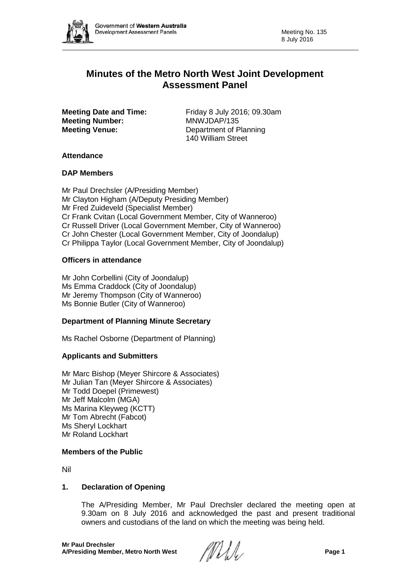

# **Minutes of the Metro North West Joint Development Assessment Panel**

**Meeting Number: Meeting Venue:** Department of Planning

**Meeting Date and Time:** Friday 8 July 2016; 09.30am<br> **MRWJDAP/135** 140 William Street

# **Attendance**

# **DAP Members**

Mr Paul Drechsler (A/Presiding Member) Mr Clayton Higham (A/Deputy Presiding Member) Mr Fred Zuideveld (Specialist Member) Cr Frank Cvitan (Local Government Member, City of Wanneroo) Cr Russell Driver (Local Government Member, City of Wanneroo) Cr John Chester (Local Government Member, City of Joondalup) Cr Philippa Taylor (Local Government Member, City of Joondalup)

# **Officers in attendance**

Mr John Corbellini (City of Joondalup) Ms Emma Craddock (City of Joondalup) Mr Jeremy Thompson (City of Wanneroo) Ms Bonnie Butler (City of Wanneroo)

# **Department of Planning Minute Secretary**

Ms Rachel Osborne (Department of Planning)

# **Applicants and Submitters**

Mr Marc Bishop (Meyer Shircore & Associates) Mr Julian Tan (Meyer Shircore & Associates) Mr Todd Doepel (Primewest) Mr Jeff Malcolm (MGA) Ms Marina Kleyweg (KCTT) Mr Tom Abrecht (Fabcot) Ms Sheryl Lockhart Mr Roland Lockhart

# **Members of the Public**

Nil

# **1. Declaration of Opening**

The A/Presiding Member, Mr Paul Drechsler declared the meeting open at 9.30am on 8 July 2016 and acknowledged the past and present traditional owners and custodians of the land on which the meeting was being held.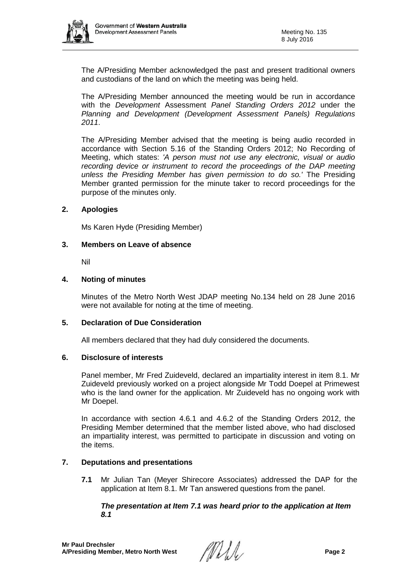

The A/Presiding Member acknowledged the past and present traditional owners and custodians of the land on which the meeting was being held.

The A/Presiding Member announced the meeting would be run in accordance with the *Development* Assessment *Panel Standing Orders 2012* under the *Planning and Development (Development Assessment Panels) Regulations 2011*.

The A/Presiding Member advised that the meeting is being audio recorded in accordance with Section 5.16 of the Standing Orders 2012; No Recording of Meeting, which states: *'A person must not use any electronic, visual or audio recording device or instrument to record the proceedings of the DAP meeting unless the Presiding Member has given permission to do so.'* The Presiding Member granted permission for the minute taker to record proceedings for the purpose of the minutes only.

# **2. Apologies**

Ms Karen Hyde (Presiding Member)

#### **3. Members on Leave of absence**

Nil

#### **4. Noting of minutes**

Minutes of the Metro North West JDAP meeting No.134 held on 28 June 2016 were not available for noting at the time of meeting.

#### **5. Declaration of Due Consideration**

All members declared that they had duly considered the documents.

#### **6. Disclosure of interests**

Panel member, Mr Fred Zuideveld, declared an impartiality interest in item 8.1. Mr Zuideveld previously worked on a project alongside Mr Todd Doepel at Primewest who is the land owner for the application. Mr Zuideveld has no ongoing work with Mr Doepel.

In accordance with section 4.6.1 and 4.6.2 of the Standing Orders 2012, the Presiding Member determined that the member listed above, who had disclosed an impartiality interest, was permitted to participate in discussion and voting on the items.

# **7. Deputations and presentations**

**7.1** Mr Julian Tan (Meyer Shirecore Associates) addressed the DAP for the application at Item 8.1. Mr Tan answered questions from the panel.

#### *The presentation at Item 7.1 was heard prior to the application at Item 8.1*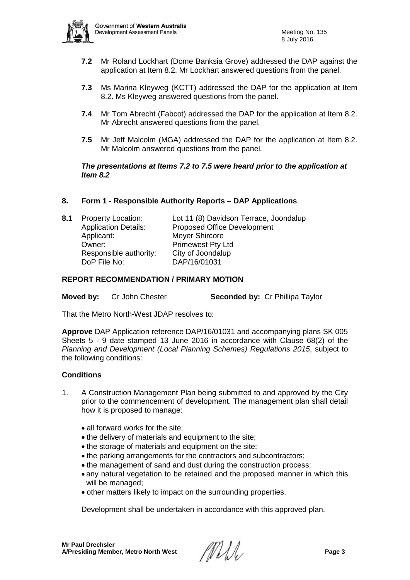

- **7.2** Mr Roland Lockhart (Dome Banksia Grove) addressed the DAP against the application at Item 8.2. Mr Lockhart answered questions from the panel.
- **7.3** Ms Marina Kleyweg (KCTT) addressed the DAP for the application at Item 8.2. Ms Kleyweg answered questions from the panel.
- **7.4** Mr Tom Abrecht (Fabcot) addressed the DAP for the application at Item 8.2. Mr Abrecht answered questions from the panel.
- **7.5** Mr Jeff Malcolm (MGA) addressed the DAP for the application at Item 8.2. Mr Malcolm answered questions from the panel.

# *The presentations at Items 7.2 to 7.5 were heard prior to the application at Item 8.2*

# **8. Form 1 - Responsible Authority Reports – DAP Applications**

| 8.1 | <b>Property Location:</b>   | Lot 11 (8) Davidson Terrace, Joondalup |
|-----|-----------------------------|----------------------------------------|
|     | <b>Application Details:</b> | <b>Proposed Office Development</b>     |
|     | Applicant:                  | Meyer Shircore                         |
|     | Owner:                      | <b>Primewest Pty Ltd</b>               |
|     | Responsible authority:      | City of Joondalup                      |
|     | DoP File No:                | DAP/16/01031                           |

# **REPORT RECOMMENDATION / PRIMARY MOTION**

**Moved by:** Cr John Chester **Seconded by:** Cr Phillipa Taylor

That the Metro North-West JDAP resolves to:

**Approve** DAP Application reference DAP/16/01031 and accompanying plans SK 005 Sheets 5 - 9 date stamped 13 June 2016 in accordance with Clause 68(2) of the *Planning and Development (Local Planning Schemes) Regulations 2015*, subject to the following conditions:

#### **Conditions**

- 1. A Construction Management Plan being submitted to and approved by the City prior to the commencement of development. The management plan shall detail how it is proposed to manage:
	- all forward works for the site;
	- the delivery of materials and equipment to the site;
	- the storage of materials and equipment on the site;
	- the parking arrangements for the contractors and subcontractors;
	- the management of sand and dust during the construction process:
	- any natural vegetation to be retained and the proposed manner in which this will be managed;
	- other matters likely to impact on the surrounding properties.

Development shall be undertaken in accordance with this approved plan.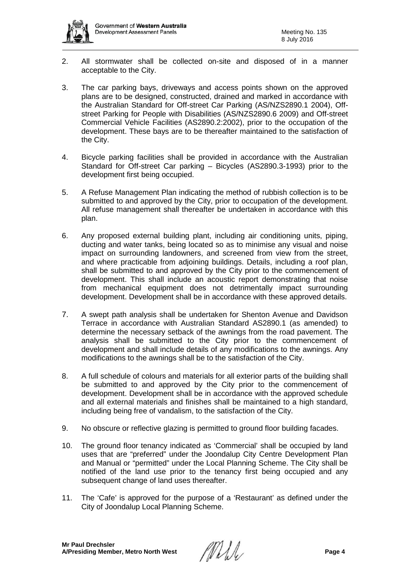

- 2. All stormwater shall be collected on-site and disposed of in a manner acceptable to the City.
- 3. The car parking bays, driveways and access points shown on the approved plans are to be designed, constructed, drained and marked in accordance with the Australian Standard for Off-street Car Parking (AS/NZS2890.1 2004), Offstreet Parking for People with Disabilities (AS/NZS2890.6 2009) and Off-street Commercial Vehicle Facilities (AS2890.2:2002), prior to the occupation of the development. These bays are to be thereafter maintained to the satisfaction of the City.
- 4. Bicycle parking facilities shall be provided in accordance with the Australian Standard for Off-street Car parking – Bicycles (AS2890.3-1993) prior to the development first being occupied.
- 5. A Refuse Management Plan indicating the method of rubbish collection is to be submitted to and approved by the City, prior to occupation of the development. All refuse management shall thereafter be undertaken in accordance with this plan.
- 6. Any proposed external building plant, including air conditioning units, piping, ducting and water tanks, being located so as to minimise any visual and noise impact on surrounding landowners, and screened from view from the street, and where practicable from adjoining buildings. Details, including a roof plan, shall be submitted to and approved by the City prior to the commencement of development. This shall include an acoustic report demonstrating that noise from mechanical equipment does not detrimentally impact surrounding development. Development shall be in accordance with these approved details.
- 7. A swept path analysis shall be undertaken for Shenton Avenue and Davidson Terrace in accordance with Australian Standard AS2890.1 (as amended) to determine the necessary setback of the awnings from the road pavement. The analysis shall be submitted to the City prior to the commencement of development and shall include details of any modifications to the awnings. Any modifications to the awnings shall be to the satisfaction of the City.
- 8. A full schedule of colours and materials for all exterior parts of the building shall be submitted to and approved by the City prior to the commencement of development. Development shall be in accordance with the approved schedule and all external materials and finishes shall be maintained to a high standard, including being free of vandalism, to the satisfaction of the City.
- 9. No obscure or reflective glazing is permitted to ground floor building facades.
- 10. The ground floor tenancy indicated as 'Commercial' shall be occupied by land uses that are "preferred" under the Joondalup City Centre Development Plan and Manual or "permitted" under the Local Planning Scheme. The City shall be notified of the land use prior to the tenancy first being occupied and any subsequent change of land uses thereafter.
- 11. The 'Cafe' is approved for the purpose of a 'Restaurant' as defined under the City of Joondalup Local Planning Scheme.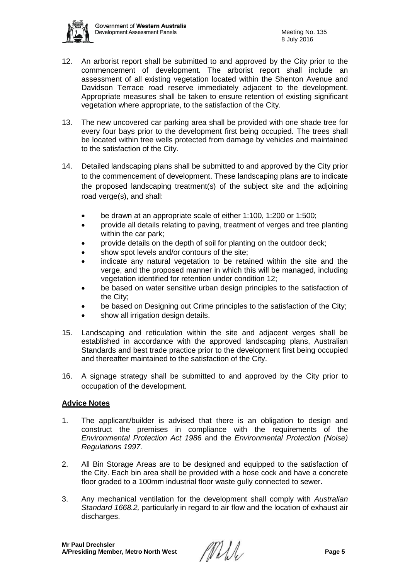

- 12. An arborist report shall be submitted to and approved by the City prior to the commencement of development. The arborist report shall include an assessment of all existing vegetation located within the Shenton Avenue and Davidson Terrace road reserve immediately adjacent to the development. Appropriate measures shall be taken to ensure retention of existing significant vegetation where appropriate, to the satisfaction of the City.
- 13. The new uncovered car parking area shall be provided with one shade tree for every four bays prior to the development first being occupied. The trees shall be located within tree wells protected from damage by vehicles and maintained to the satisfaction of the City.
- 14. Detailed landscaping plans shall be submitted to and approved by the City prior to the commencement of development. These landscaping plans are to indicate the proposed landscaping treatment(s) of the subject site and the adjoining road verge(s), and shall:
	- be drawn at an appropriate scale of either 1:100, 1:200 or 1:500;
	- provide all details relating to paving, treatment of verges and tree planting within the car park;
	- provide details on the depth of soil for planting on the outdoor deck;
	- show spot levels and/or contours of the site;
	- indicate any natural vegetation to be retained within the site and the verge, and the proposed manner in which this will be managed, including vegetation identified for retention under condition 12;
	- be based on water sensitive urban design principles to the satisfaction of the City;
	- be based on Designing out Crime principles to the satisfaction of the City;
	- show all irrigation design details.
- 15. Landscaping and reticulation within the site and adjacent verges shall be established in accordance with the approved landscaping plans, Australian Standards and best trade practice prior to the development first being occupied and thereafter maintained to the satisfaction of the City.
- 16. A signage strategy shall be submitted to and approved by the City prior to occupation of the development.

# **Advice Notes**

- 1. The applicant/builder is advised that there is an obligation to design and construct the premises in compliance with the requirements of the *Environmental Protection Act 1986* and the *Environmental Protection (Noise) Regulations 1997*.
- 2. All Bin Storage Areas are to be designed and equipped to the satisfaction of the City. Each bin area shall be provided with a hose cock and have a concrete floor graded to a 100mm industrial floor waste gully connected to sewer.
- 3. Any mechanical ventilation for the development shall comply with *Australian Standard 1668.2,* particularly in regard to air flow and the location of exhaust air discharges.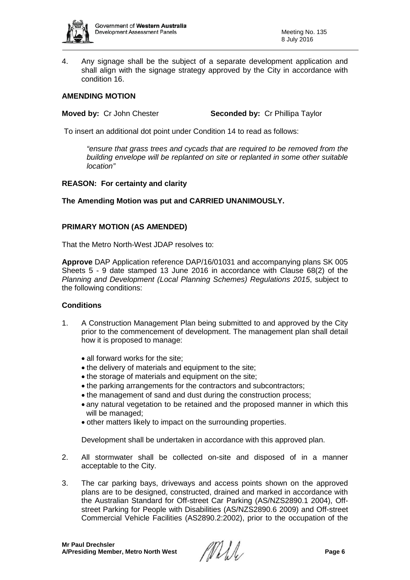

4. Any signage shall be the subject of a separate development application and shall align with the signage strategy approved by the City in accordance with condition 16.

# **AMENDING MOTION**

**Moved by:** Cr John Chester **Seconded by:** Cr Phillipa Taylor

To insert an additional dot point under Condition 14 to read as follows:

*"ensure that grass trees and cycads that are required to be removed from the building envelope will be replanted on site or replanted in some other suitable location"*

#### **REASON: For certainty and clarity**

#### **The Amending Motion was put and CARRIED UNANIMOUSLY.**

#### **PRIMARY MOTION (AS AMENDED)**

That the Metro North-West JDAP resolves to:

**Approve** DAP Application reference DAP/16/01031 and accompanying plans SK 005 Sheets 5 - 9 date stamped 13 June 2016 in accordance with Clause 68(2) of the *Planning and Development (Local Planning Schemes) Regulations 2015*, subject to the following conditions:

#### **Conditions**

- 1. A Construction Management Plan being submitted to and approved by the City prior to the commencement of development. The management plan shall detail how it is proposed to manage:
	- all forward works for the site:
	- the delivery of materials and equipment to the site;
	- the storage of materials and equipment on the site;
	- the parking arrangements for the contractors and subcontractors;
	- the management of sand and dust during the construction process;
	- any natural vegetation to be retained and the proposed manner in which this will be managed;
	- other matters likely to impact on the surrounding properties.

Development shall be undertaken in accordance with this approved plan.

- 2. All stormwater shall be collected on-site and disposed of in a manner acceptable to the City.
- 3. The car parking bays, driveways and access points shown on the approved plans are to be designed, constructed, drained and marked in accordance with the Australian Standard for Off-street Car Parking (AS/NZS2890.1 2004), Offstreet Parking for People with Disabilities (AS/NZS2890.6 2009) and Off-street Commercial Vehicle Facilities (AS2890.2:2002), prior to the occupation of the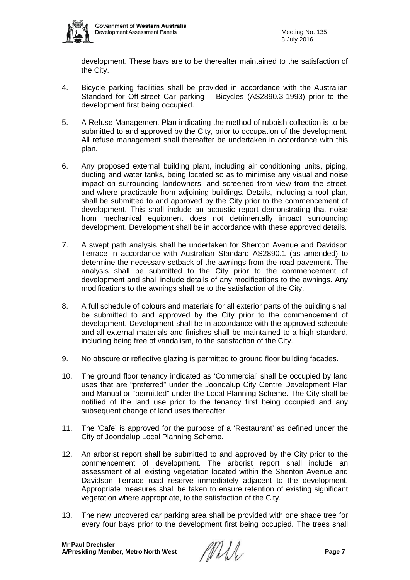

development. These bays are to be thereafter maintained to the satisfaction of the City.

- 4. Bicycle parking facilities shall be provided in accordance with the Australian Standard for Off-street Car parking – Bicycles (AS2890.3-1993) prior to the development first being occupied.
- 5. A Refuse Management Plan indicating the method of rubbish collection is to be submitted to and approved by the City, prior to occupation of the development. All refuse management shall thereafter be undertaken in accordance with this plan.
- 6. Any proposed external building plant, including air conditioning units, piping, ducting and water tanks, being located so as to minimise any visual and noise impact on surrounding landowners, and screened from view from the street, and where practicable from adjoining buildings. Details, including a roof plan, shall be submitted to and approved by the City prior to the commencement of development. This shall include an acoustic report demonstrating that noise from mechanical equipment does not detrimentally impact surrounding development. Development shall be in accordance with these approved details.
- 7. A swept path analysis shall be undertaken for Shenton Avenue and Davidson Terrace in accordance with Australian Standard AS2890.1 (as amended) to determine the necessary setback of the awnings from the road pavement. The analysis shall be submitted to the City prior to the commencement of development and shall include details of any modifications to the awnings. Any modifications to the awnings shall be to the satisfaction of the City.
- 8. A full schedule of colours and materials for all exterior parts of the building shall be submitted to and approved by the City prior to the commencement of development. Development shall be in accordance with the approved schedule and all external materials and finishes shall be maintained to a high standard, including being free of vandalism, to the satisfaction of the City.
- 9. No obscure or reflective glazing is permitted to ground floor building facades.
- 10. The ground floor tenancy indicated as 'Commercial' shall be occupied by land uses that are "preferred" under the Joondalup City Centre Development Plan and Manual or "permitted" under the Local Planning Scheme. The City shall be notified of the land use prior to the tenancy first being occupied and any subsequent change of land uses thereafter.
- 11. The 'Cafe' is approved for the purpose of a 'Restaurant' as defined under the City of Joondalup Local Planning Scheme.
- 12. An arborist report shall be submitted to and approved by the City prior to the commencement of development. The arborist report shall include an assessment of all existing vegetation located within the Shenton Avenue and Davidson Terrace road reserve immediately adjacent to the development. Appropriate measures shall be taken to ensure retention of existing significant vegetation where appropriate, to the satisfaction of the City.
- 13. The new uncovered car parking area shall be provided with one shade tree for every four bays prior to the development first being occupied. The trees shall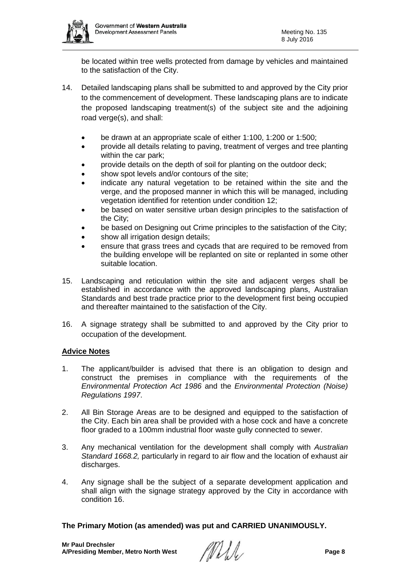

be located within tree wells protected from damage by vehicles and maintained to the satisfaction of the City.

- 14. Detailed landscaping plans shall be submitted to and approved by the City prior to the commencement of development. These landscaping plans are to indicate the proposed landscaping treatment(s) of the subject site and the adjoining road verge(s), and shall:
	- be drawn at an appropriate scale of either 1:100, 1:200 or 1:500;
	- provide all details relating to paving, treatment of verges and tree planting within the car park;
	- provide details on the depth of soil for planting on the outdoor deck;
	- show spot levels and/or contours of the site;
	- indicate any natural vegetation to be retained within the site and the verge, and the proposed manner in which this will be managed, including vegetation identified for retention under condition 12;
	- be based on water sensitive urban design principles to the satisfaction of the City;
	- be based on Designing out Crime principles to the satisfaction of the City;
	- show all irrigation design details;
	- ensure that grass trees and cycads that are required to be removed from the building envelope will be replanted on site or replanted in some other suitable location.
- 15. Landscaping and reticulation within the site and adjacent verges shall be established in accordance with the approved landscaping plans, Australian Standards and best trade practice prior to the development first being occupied and thereafter maintained to the satisfaction of the City.
- 16. A signage strategy shall be submitted to and approved by the City prior to occupation of the development.

# **Advice Notes**

- 1. The applicant/builder is advised that there is an obligation to design and construct the premises in compliance with the requirements of the *Environmental Protection Act 1986* and the *Environmental Protection (Noise) Regulations 1997*.
- 2. All Bin Storage Areas are to be designed and equipped to the satisfaction of the City. Each bin area shall be provided with a hose cock and have a concrete floor graded to a 100mm industrial floor waste gully connected to sewer.
- 3. Any mechanical ventilation for the development shall comply with *Australian Standard 1668.2,* particularly in regard to air flow and the location of exhaust air discharges.
- 4. Any signage shall be the subject of a separate development application and shall align with the signage strategy approved by the City in accordance with condition 16.

**The Primary Motion (as amended) was put and CARRIED UNANIMOUSLY.**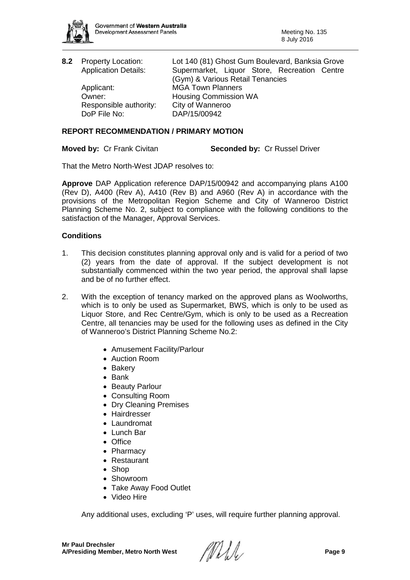

| 8.2 Property Location:      | Lot 140 (81) Ghost Gum Boulevard, Banksia Grove |
|-----------------------------|-------------------------------------------------|
| <b>Application Details:</b> | Supermarket, Liquor Store, Recreation Centre    |
|                             | (Gym) & Various Retail Tenancies                |
| Applicant:                  | <b>MGA Town Planners</b>                        |
| Owner:                      | <b>Housing Commission WA</b>                    |
| Responsible authority:      | City of Wanneroo                                |
| DoP File No:                | DAP/15/00942                                    |

# **REPORT RECOMMENDATION / PRIMARY MOTION**

**Moved by:** Cr Frank Civitan **Seconded by:** Cr Russel Driver

That the Metro North-West JDAP resolves to:

**Approve** DAP Application reference DAP/15/00942 and accompanying plans A100 (Rev D), A400 (Rev A), A410 (Rev B) and A960 (Rev A) in accordance with the provisions of the Metropolitan Region Scheme and City of Wanneroo District Planning Scheme No. 2, subject to compliance with the following conditions to the satisfaction of the Manager, Approval Services.

# **Conditions**

- 1. This decision constitutes planning approval only and is valid for a period of two (2) years from the date of approval. If the subject development is not substantially commenced within the two year period, the approval shall lapse and be of no further effect.
- 2. With the exception of tenancy marked on the approved plans as Woolworths, which is to only be used as Supermarket, BWS, which is only to be used as Liquor Store, and Rec Centre/Gym, which is only to be used as a Recreation Centre, all tenancies may be used for the following uses as defined in the City of Wanneroo's District Planning Scheme No.2:
	- Amusement Facility/Parlour
	- Auction Room
	- Bakery
	- Bank
	- Beauty Parlour
	- Consulting Room
	- Dry Cleaning Premises
	- Hairdresser
	- Laundromat
	- Lunch Bar
	- Office
	- Pharmacy
	- Restaurant
	- Shop
	- Showroom
	- Take Away Food Outlet
	- Video Hire

Any additional uses, excluding 'P' uses, will require further planning approval.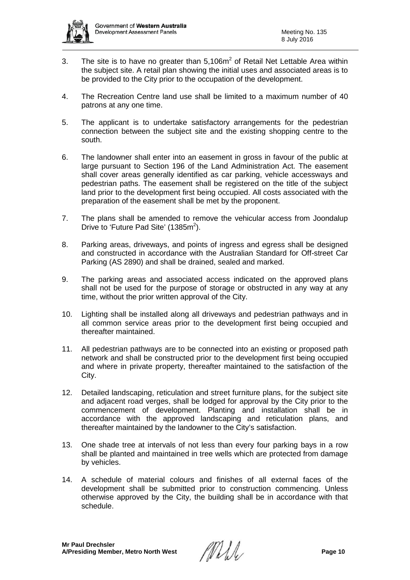

- 3. The site is to have no greater than  $5.106m<sup>2</sup>$  of Retail Net Lettable Area within the subject site. A retail plan showing the initial uses and associated areas is to be provided to the City prior to the occupation of the development.
- 4. The Recreation Centre land use shall be limited to a maximum number of 40 patrons at any one time.
- 5. The applicant is to undertake satisfactory arrangements for the pedestrian connection between the subject site and the existing shopping centre to the south.
- 6. The landowner shall enter into an easement in gross in favour of the public at large pursuant to Section 196 of the Land Administration Act. The easement shall cover areas generally identified as car parking, vehicle accessways and pedestrian paths. The easement shall be registered on the title of the subject land prior to the development first being occupied. All costs associated with the preparation of the easement shall be met by the proponent.
- 7. The plans shall be amended to remove the vehicular access from Joondalup Drive to 'Future Pad Site' (1385 $m^2$ ).
- 8. Parking areas, driveways, and points of ingress and egress shall be designed and constructed in accordance with the Australian Standard for Off-street Car Parking (AS 2890) and shall be drained, sealed and marked.
- 9. The parking areas and associated access indicated on the approved plans shall not be used for the purpose of storage or obstructed in any way at any time, without the prior written approval of the City.
- 10. Lighting shall be installed along all driveways and pedestrian pathways and in all common service areas prior to the development first being occupied and thereafter maintained.
- 11. All pedestrian pathways are to be connected into an existing or proposed path network and shall be constructed prior to the development first being occupied and where in private property, thereafter maintained to the satisfaction of the City.
- 12. Detailed landscaping, reticulation and street furniture plans, for the subject site and adjacent road verges, shall be lodged for approval by the City prior to the commencement of development. Planting and installation shall be in accordance with the approved landscaping and reticulation plans, and thereafter maintained by the landowner to the City's satisfaction.
- 13. One shade tree at intervals of not less than every four parking bays in a row shall be planted and maintained in tree wells which are protected from damage by vehicles.
- 14. A schedule of material colours and finishes of all external faces of the development shall be submitted prior to construction commencing. Unless otherwise approved by the City, the building shall be in accordance with that schedule.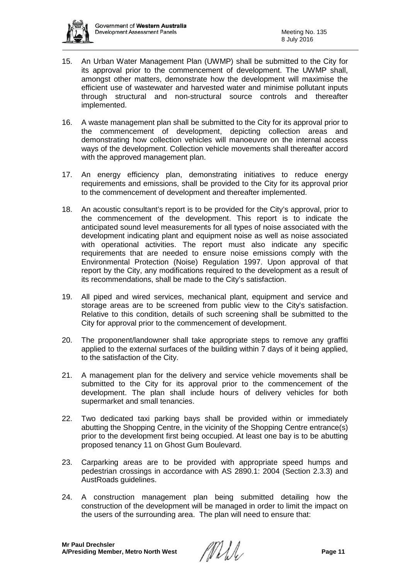

- 15. An Urban Water Management Plan (UWMP) shall be submitted to the City for its approval prior to the commencement of development. The UWMP shall, amongst other matters, demonstrate how the development will maximise the efficient use of wastewater and harvested water and minimise pollutant inputs through structural and non-structural source controls and thereafter implemented.
- 16. A waste management plan shall be submitted to the City for its approval prior to the commencement of development, depicting collection areas and demonstrating how collection vehicles will manoeuvre on the internal access ways of the development. Collection vehicle movements shall thereafter accord with the approved management plan.
- 17. An energy efficiency plan, demonstrating initiatives to reduce energy requirements and emissions, shall be provided to the City for its approval prior to the commencement of development and thereafter implemented.
- 18. An acoustic consultant's report is to be provided for the City's approval, prior to the commencement of the development. This report is to indicate the anticipated sound level measurements for all types of noise associated with the development indicating plant and equipment noise as well as noise associated with operational activities. The report must also indicate any specific requirements that are needed to ensure noise emissions comply with the Environmental Protection (Noise) Regulation 1997. Upon approval of that report by the City, any modifications required to the development as a result of its recommendations, shall be made to the City's satisfaction.
- 19. All piped and wired services, mechanical plant, equipment and service and storage areas are to be screened from public view to the City's satisfaction. Relative to this condition, details of such screening shall be submitted to the City for approval prior to the commencement of development.
- 20. The proponent/landowner shall take appropriate steps to remove any graffiti applied to the external surfaces of the building within 7 days of it being applied, to the satisfaction of the City.
- 21. A management plan for the delivery and service vehicle movements shall be submitted to the City for its approval prior to the commencement of the development. The plan shall include hours of delivery vehicles for both supermarket and small tenancies.
- 22. Two dedicated taxi parking bays shall be provided within or immediately abutting the Shopping Centre, in the vicinity of the Shopping Centre entrance(s) prior to the development first being occupied. At least one bay is to be abutting proposed tenancy 11 on Ghost Gum Boulevard.
- 23. Carparking areas are to be provided with appropriate speed humps and pedestrian crossings in accordance with AS 2890.1: 2004 (Section 2.3.3) and AustRoads guidelines.
- 24. A construction management plan being submitted detailing how the construction of the development will be managed in order to limit the impact on the users of the surrounding area. The plan will need to ensure that: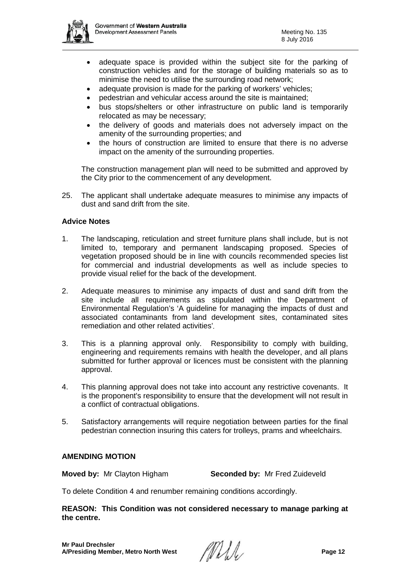

- adequate space is provided within the subject site for the parking of construction vehicles and for the storage of building materials so as to minimise the need to utilise the surrounding road network;
- adequate provision is made for the parking of workers' vehicles;
- pedestrian and vehicular access around the site is maintained;
- bus stops/shelters or other infrastructure on public land is temporarily relocated as may be necessary;
- the delivery of goods and materials does not adversely impact on the amenity of the surrounding properties; and
- the hours of construction are limited to ensure that there is no adverse impact on the amenity of the surrounding properties.

The construction management plan will need to be submitted and approved by the City prior to the commencement of any development.

25. The applicant shall undertake adequate measures to minimise any impacts of dust and sand drift from the site.

# **Advice Notes**

- 1. The landscaping, reticulation and street furniture plans shall include, but is not limited to, temporary and permanent landscaping proposed. Species of vegetation proposed should be in line with councils recommended species list for commercial and industrial developments as well as include species to provide visual relief for the back of the development.
- 2. Adequate measures to minimise any impacts of dust and sand drift from the site include all requirements as stipulated within the Department of Environmental Regulation's 'A guideline for managing the impacts of dust and associated contaminants from land development sites, contaminated sites remediation and other related activities'*.*
- 3. This is a planning approval only. Responsibility to comply with building, engineering and requirements remains with health the developer, and all plans submitted for further approval or licences must be consistent with the planning approval.
- 4. This planning approval does not take into account any restrictive covenants. It is the proponent's responsibility to ensure that the development will not result in a conflict of contractual obligations.
- 5. Satisfactory arrangements will require negotiation between parties for the final pedestrian connection insuring this caters for trolleys, prams and wheelchairs.

# **AMENDING MOTION**

**Moved by:** Mr Clayton Higham **Seconded by:** Mr Fred Zuideveld

To delete Condition 4 and renumber remaining conditions accordingly.

**REASON: This Condition was not considered necessary to manage parking at the centre.**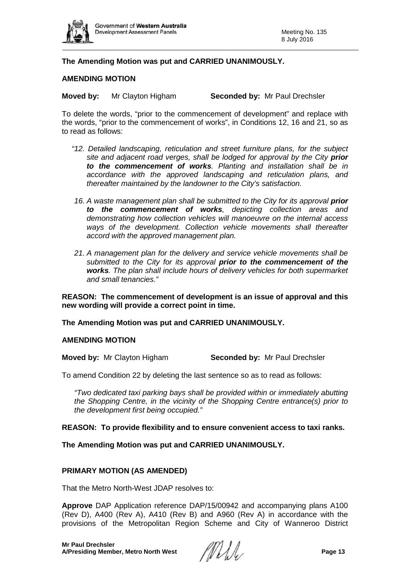

**The Amending Motion was put and CARRIED UNANIMOUSLY.**

#### **AMENDING MOTION**

**Moved by:** Mr Clayton Higham **Seconded by:** Mr Paul Drechsler

To delete the words, "prior to the commencement of development" and replace with the words, "prior to the commencement of works", in Conditions 12, 16 and 21, so as to read as follows:

- *"12. Detailed landscaping, reticulation and street furniture plans, for the subject site and adjacent road verges, shall be lodged for approval by the City prior to the commencement of works. Planting and installation shall be in accordance with the approved landscaping and reticulation plans, and thereafter maintained by the landowner to the City's satisfaction.*
- 16. A waste management plan shall be submitted to the City for its approval **prior** *to the commencement of works, depicting collection areas and demonstrating how collection vehicles will manoeuvre on the internal access ways of the development. Collection vehicle movements shall thereafter accord with the approved management plan.*
- *21. A management plan for the delivery and service vehicle movements shall be submitted to the City for its approval prior to the commencement of the works. The plan shall include hours of delivery vehicles for both supermarket and small tenancies."*

**REASON: The commencement of development is an issue of approval and this new wording will provide a correct point in time.**

**The Amending Motion was put and CARRIED UNANIMOUSLY.**

#### **AMENDING MOTION**

**Moved by:** Mr Clayton Higham **Seconded by:** Mr Paul Drechsler

To amend Condition 22 by deleting the last sentence so as to read as follows:

*"Two dedicated taxi parking bays shall be provided within or immediately abutting the Shopping Centre, in the vicinity of the Shopping Centre entrance(s) prior to the development first being occupied."* 

#### **REASON: To provide flexibility and to ensure convenient access to taxi ranks.**

**The Amending Motion was put and CARRIED UNANIMOUSLY.**

#### **PRIMARY MOTION (AS AMENDED)**

That the Metro North-West JDAP resolves to:

**Approve** DAP Application reference DAP/15/00942 and accompanying plans A100 (Rev D), A400 (Rev A), A410 (Rev B) and A960 (Rev A) in accordance with the provisions of the Metropolitan Region Scheme and City of Wanneroo District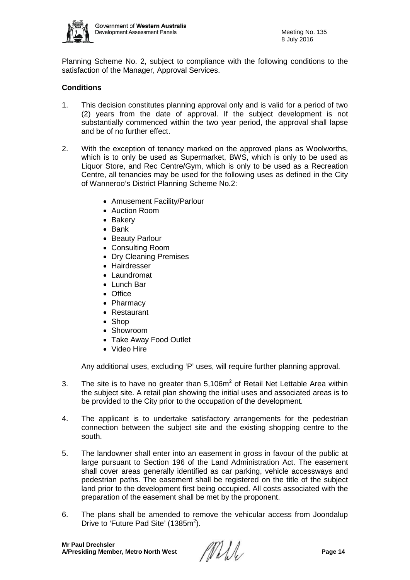

Planning Scheme No. 2, subject to compliance with the following conditions to the satisfaction of the Manager, Approval Services.

# **Conditions**

- 1. This decision constitutes planning approval only and is valid for a period of two (2) years from the date of approval. If the subject development is not substantially commenced within the two year period, the approval shall lapse and be of no further effect.
- 2. With the exception of tenancy marked on the approved plans as Woolworths, which is to only be used as Supermarket, BWS, which is only to be used as Liquor Store, and Rec Centre/Gym, which is only to be used as a Recreation Centre, all tenancies may be used for the following uses as defined in the City of Wanneroo's District Planning Scheme No.2:
	- Amusement Facility/Parlour
	- Auction Room
	- Bakery
	- Bank
	- Beauty Parlour
	- Consulting Room
	- Dry Cleaning Premises
	- Hairdresser
	- Laundromat
	- Lunch Bar
	- Office
	- Pharmacy
	- Restaurant
	- Shop
	- Showroom
	- Take Away Food Outlet
	- Video Hire

Any additional uses, excluding 'P' uses, will require further planning approval.

- 3. The site is to have no greater than  $5,106m^2$  of Retail Net Lettable Area within the subject site. A retail plan showing the initial uses and associated areas is to be provided to the City prior to the occupation of the development.
- 4. The applicant is to undertake satisfactory arrangements for the pedestrian connection between the subject site and the existing shopping centre to the south.
- 5. The landowner shall enter into an easement in gross in favour of the public at large pursuant to Section 196 of the Land Administration Act. The easement shall cover areas generally identified as car parking, vehicle accessways and pedestrian paths. The easement shall be registered on the title of the subject land prior to the development first being occupied. All costs associated with the preparation of the easement shall be met by the proponent.
- 6. The plans shall be amended to remove the vehicular access from Joondalup Drive to 'Future Pad Site' (1385m<sup>2</sup>).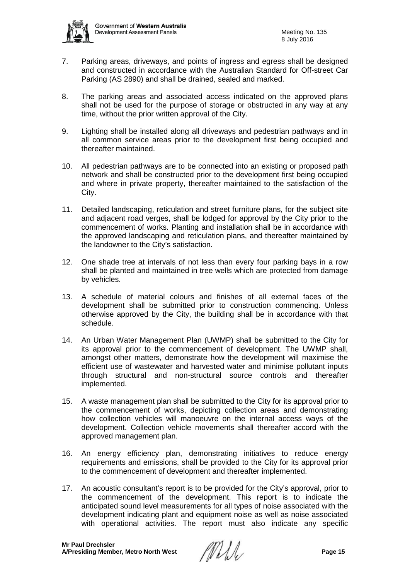

- 7. Parking areas, driveways, and points of ingress and egress shall be designed and constructed in accordance with the Australian Standard for Off-street Car Parking (AS 2890) and shall be drained, sealed and marked.
- 8. The parking areas and associated access indicated on the approved plans shall not be used for the purpose of storage or obstructed in any way at any time, without the prior written approval of the City.
- 9. Lighting shall be installed along all driveways and pedestrian pathways and in all common service areas prior to the development first being occupied and thereafter maintained.
- 10. All pedestrian pathways are to be connected into an existing or proposed path network and shall be constructed prior to the development first being occupied and where in private property, thereafter maintained to the satisfaction of the City.
- 11. Detailed landscaping, reticulation and street furniture plans, for the subject site and adjacent road verges, shall be lodged for approval by the City prior to the commencement of works. Planting and installation shall be in accordance with the approved landscaping and reticulation plans, and thereafter maintained by the landowner to the City's satisfaction.
- 12. One shade tree at intervals of not less than every four parking bays in a row shall be planted and maintained in tree wells which are protected from damage by vehicles.
- 13. A schedule of material colours and finishes of all external faces of the development shall be submitted prior to construction commencing. Unless otherwise approved by the City, the building shall be in accordance with that schedule.
- 14. An Urban Water Management Plan (UWMP) shall be submitted to the City for its approval prior to the commencement of development. The UWMP shall, amongst other matters, demonstrate how the development will maximise the efficient use of wastewater and harvested water and minimise pollutant inputs through structural and non-structural source controls and thereafter implemented.
- 15. A waste management plan shall be submitted to the City for its approval prior to the commencement of works, depicting collection areas and demonstrating how collection vehicles will manoeuvre on the internal access ways of the development. Collection vehicle movements shall thereafter accord with the approved management plan.
- 16. An energy efficiency plan, demonstrating initiatives to reduce energy requirements and emissions, shall be provided to the City for its approval prior to the commencement of development and thereafter implemented.
- 17. An acoustic consultant's report is to be provided for the City's approval, prior to the commencement of the development. This report is to indicate the anticipated sound level measurements for all types of noise associated with the development indicating plant and equipment noise as well as noise associated with operational activities. The report must also indicate any specific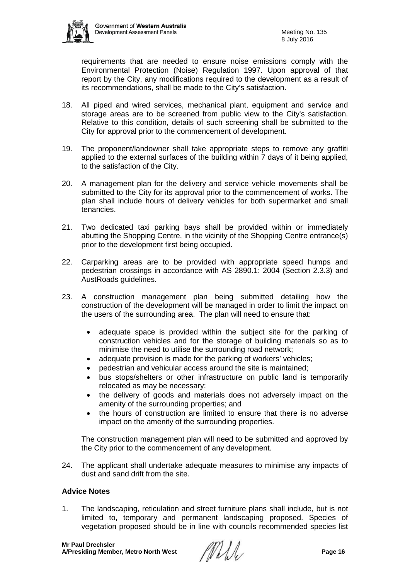

requirements that are needed to ensure noise emissions comply with the Environmental Protection (Noise) Regulation 1997. Upon approval of that report by the City, any modifications required to the development as a result of its recommendations, shall be made to the City's satisfaction.

- 18. All piped and wired services, mechanical plant, equipment and service and storage areas are to be screened from public view to the City's satisfaction. Relative to this condition, details of such screening shall be submitted to the City for approval prior to the commencement of development.
- 19. The proponent/landowner shall take appropriate steps to remove any graffiti applied to the external surfaces of the building within 7 days of it being applied, to the satisfaction of the City.
- 20. A management plan for the delivery and service vehicle movements shall be submitted to the City for its approval prior to the commencement of works. The plan shall include hours of delivery vehicles for both supermarket and small tenancies.
- 21. Two dedicated taxi parking bays shall be provided within or immediately abutting the Shopping Centre, in the vicinity of the Shopping Centre entrance(s) prior to the development first being occupied.
- 22. Carparking areas are to be provided with appropriate speed humps and pedestrian crossings in accordance with AS 2890.1: 2004 (Section 2.3.3) and AustRoads guidelines.
- 23. A construction management plan being submitted detailing how the construction of the development will be managed in order to limit the impact on the users of the surrounding area. The plan will need to ensure that:
	- adequate space is provided within the subject site for the parking of construction vehicles and for the storage of building materials so as to minimise the need to utilise the surrounding road network;
	- adequate provision is made for the parking of workers' vehicles;
	- pedestrian and vehicular access around the site is maintained;
	- bus stops/shelters or other infrastructure on public land is temporarily relocated as may be necessary;
	- the delivery of goods and materials does not adversely impact on the amenity of the surrounding properties; and
	- the hours of construction are limited to ensure that there is no adverse impact on the amenity of the surrounding properties.

The construction management plan will need to be submitted and approved by the City prior to the commencement of any development.

24. The applicant shall undertake adequate measures to minimise any impacts of dust and sand drift from the site.

# **Advice Notes**

1. The landscaping, reticulation and street furniture plans shall include, but is not limited to, temporary and permanent landscaping proposed. Species of vegetation proposed should be in line with councils recommended species list